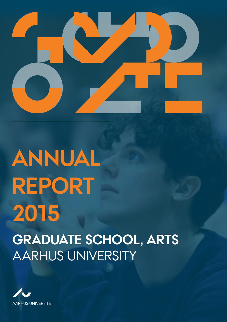

# **graduate school, arts** AARHUS UNIVERSITy **annual report 2015**

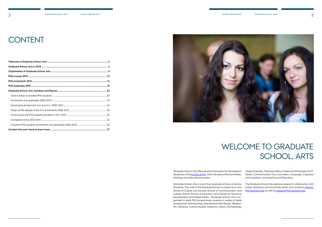# **CONTENT**



The Graduate School has extensive research collaboration with public institutions and the private sector and conducts [ordinary](http://talent.au.dk/phd/arts/phdstudystructure/) [PhD programmes](http://talent.au.dk/phd/arts/phdstudystructure/) as well as [industrial PhD programmes](http://talent.au.dk/phd/arts/industrial-phd-programme/).

Graduate School, Arts offers doctoral education for the research disciplines of the **Faculty of Arts** within all areas of the humanities, theology and educational studies.

Graduate School, Arts is one of four graduate schools at Aarhus University. The work of the Graduate School is carried out in the [School of Culture and Society](http://cas.au.dk/en/), [School of Communication and](http://cc.au.dk/en/)  [Culture](http://cc.au.dk/en/), [Danish School of Education](http://edu.au.dk/en/) and [Centre for Teaching](http://tdm.au.dk/en/)  [Development and Digital Media.](http://tdm.au.dk/en/) Graduate School, Arts is organised in eight PhD programmes covering a variety of fields ranging from Anthropology, International Area Studies, Religion, [Art, Literature, Cultural Studies,](http://talent.au.dk/phd/arts/programmes/art-literature-and-cultural-studies/) [Didactics,](http://talent.au.dk/phd/arts/programmes/didactics/) [History, Archaeology,](http://talent.au.dk/phd/arts/programmes/history-archeology-and-classical-studies/) 

# WELCOME TO GRADUATE SCHOOL, ARTS

[Classical Studies,](http://talent.au.dk/phd/arts/programmes/history-archeology-and-classical-studies/) [Theology, History of Ideas and Philosophy](http://talent.au.dk/phd/arts/programmes/theology-history-of-ideas-and-philosophy/) to ICT, Media, Communication and Journalism, [Language, Linguistics](http://talent.au.dk/phd/arts/programmes/language-linguistics-and-cognition/) [and Cognition](http://talent.au.dk/phd/arts/programmes/language-linguistics-and-cognition/), and Learning and Education.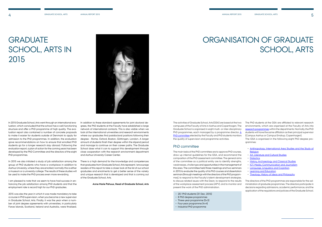# **GRADUATE** SCHOOL, ARTS IN 2015



In 2015 Graduate School, Arts went through an international evaluation, which concluded that the school has a well-functioning structure and offer a PhD programme of high quality. The evaluation report also contained a number of concrete proposals to make it easier for students outside of Denmark to apply for admission to the PhD programmes. In addition, the evaluation gave recommendations on how to ensure that enrolled PhD students go for a longer research stay abroad. Following the evaluation report, a plan of action for the coming years has been developed by the PhD Committee and the directors of the eight PhD programmes.

In 2015 we also initiated a study of job satisfaction among the group of PhD students who have a workplace in addition to Aarhus University, where they are enrolled; normally this is either a museum or a university college. The results of these studies will be used to make the PhD process even more rewarding.

I am pleased to note that we seem to have had success in enhancing the job satisfaction among PhD students and that the employment rate is record high for our PhD graduates.

2015 was also the year in which it was made mandatory to take a course in PhD supervision, when you become a new supervisor in Graduate School, Arts. Finally, it was the year when a number of joint degree agreements with universities, in particularly Faroe Islands, Scotland, Ireland and Australia, were finalized.

In addition to these standard agreements for joint doctoral degrees, the PhD students at the Faculty have established a large network of international contacts. This is also visible when we look at the international universities and research environments where our graduates find postdoctoral positions following their degree - Rome, Oxford, Boston, Göttingen, London. A larger amount of students finish their degree within the stipend period and manage to continue on their career paths. The Graduate School does what it can to support this development through close cooperation with the research environment department and Aarhus University Career Center.

There is a high demand for the knowledge and competences that graduates from Graduate School, Arts represent. I encourage readers of this report to take a closer look at the list of our school graduates and enrolments to get a better sense of the variety and unique research that is developed and that is coming out of the Graduate School, Arts.

**Anne Marie Pahuus, Head of Graduate School, Arts** 

The activities of Graduate School, Arts (GSA) are based at the two campuses of the Faculty of Arts in Aarhus and Copenhagen. The Graduate School is organised in eight multi- or inter-disciplinary PhD programmes, each managed by a programme director. [A](http://phd.au.dk/gradschools/arts/organisation/phd-committee/)  [PhD committee](http://phd.au.dk/gradschools/arts/organisation/phd-committee/) elected by the Faculty and PhD students monitors the quality of supervision and programme activities.

### PhD committee

The main tasks of the PhD committee are to approve PhD courses, draw up internal guidelines for the GSA, and recommend the composition of the PhD assessment committee. The general aims of the committee as a political entity are to identify strengths, weaknesses, challenges and opportunities in the management of this area. The committee held three meetings and two seminars in 2015 to evaluate the quality of its PhD courses and dissertation seminars (through meetings with the directors of the PhD programmes), to respond to the Faculty's talent-development strategies, to discuss related issues with the Dean, to respond to the results of the workplace assessment process (APV), and to monitor and present the work of the PhD administration.

- 251 PhD students (31 Dec. 2015)
- 8 PhD degree programmes
- Three-year programme (5+3)
- Four-year programme (4+4)
- Industrial PhD programme

# ORGANISATION OF GRADUATE SCHOOL, ARTS

The PhD students at the GSA are affiliated to relevant research environments, which are organised at the Faculty of Arts into [research programmes](http://arts.au.dk/en/research/research-programmes/) within the departments. Normally, the PhD students will have the same affiliation as their principal supervisor (Campus Aarhus or Campus Emdrup, Copenhagen).

The GSA is organised in the following eight PhD degree programmes:

- [Anthropology, International Area Studies and the Study of](http://talent.au.dk/phd/arts/programmes/anthropology-int-area-studies-and-the-study-of-religion/) **[Religion](http://talent.au.dk/phd/arts/programmes/anthropology-int-area-studies-and-the-study-of-religion/)**
- [Art, Literature and Cultural Studies](http://talent.au.dk/phd/arts/programmes/art-literature-and-cultural-studies/)
- [Didactics](http://talent.au.dk/phd/arts/programmes/didactics/)
- [History, Archaeology and Classical Studies](http://talent.au.dk/phd/arts/programmes/history-archeology-and-classical-studies/)
- [ICT, Media, Communication and Journalism](http://talent.au.dk/phd/arts/programmes/ict-media-communication-and-journalism/)
- [Language, Linguistics and Cognition](http://talent.au.dk/phd/arts/programmes/language-linguistics-and-cognition/)
- [Learning and Education](http://talent.au.dk/phd/arts/programmes/learning-and-education/)
- [Theology, History of Ideas and Philosophy](http://talent.au.dk/phd/arts/programmes/theology-history-of-ideas-and-philosophy/)

The directors of the PhD programmes are responsible for the administration of graduate programmes. The directors participate in decisions regarding admissions, academic performance, and the application of the regulations and policies of the Graduate School.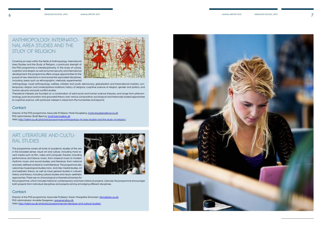# Art, Literature and Cultural Studies

This programme covers all kinds of academic studies of the arts in the broadest sense: visual art and culture, including more recent media such as film, video and computer; theatre, including performance and dance; music, from classical music to modern rhythmic music and sound studies; and literature, from national and area-defined contexts to world literature. The programme also welcomes museological studies, trans- and inter-medial studies, art and aesthetic theory, as well as more general studies in culture's history and theory, including cultural studies and neuro-aesthetic approaches. There are no chronological or theoretical barriers for



Director of the PhD programme: Associate Professor, Karen-Margrethe Simonsen, [litkms@dac.au.dk](mailto:litkms@dac.au.dk) PhD administrator: Annette Gregersen, [gregersen@au.dk](mailto:gregersen@au.dk) Web:<http://talent.au.dk/phd/arts/programmes/art-literature-and-cultural-studies/>



the programme, which includes historical, contemporary and trans-historical projects. Likewise, the programme encourages both projects from individual disciplines and projects aiming at bridging different disciplines.

### Contact:

# Anthropology, International Area Studies and the Study of Religion

Director of the PhD programme: Associate Professor, Mads Daugbjerg, [mads.daugbjerg@cas.au.dk](mailto:mads.daugbjerg@cas.au.dk) PhD administrator: Bodil Bjerring, [bodil.bjerring@au.dk](mailto:bodil.bjerring@au.dk) Web:<http://talent.au.dk/phd/arts/programmes/anthropology-int-area-studies-and-the-study-of-religion/>

Covering an area within the fields of Anthropology, International Area Studies and the Study of Religion, a particular strength of this PhD programme is interdisciplinarity. In the study of culture, cognition and religion as well as human security and international development, the programme offers unique opportunities for the pursuit of new directions in and across the associated disciplines, including areas such as ethnographic methods; experimental



anthropology; visual anthropology; welfare, children and youth; democracy, globalisation and transnational mobility; contemporary religion and contemplative traditions; history of religions; cognitive science of religion; gender and politics; and human security and post-conflict studies.

Theoretical interests are founded on a combination of solid social and human science theories, and range from phenomenology, post-structuralism and grounded theory over various comparative, sociological and historically-based approaches to cognitive science, with particular interest in areas from the humanities and beyond.

### Contact: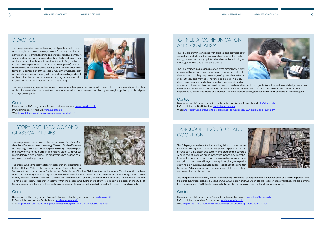# **DIDACTICS**

This programme focuses on the analysis of practice and policy in education, in particular the aim, content, form, organisation and performance of learning, teaching and professional development in school and pre-school settings, and analysis of school development and teacher training. Research on subject-specific (e.g. mathematics) and area-specific (e.g. sustainable development) teaching and learning in institutionalised settings at all educational levels forms an important part of the programme. Furthermore, research on workplace learning, career guidance and counselling and adult and vocational education is central in the programme, in relation to both formal and informal learning and teaching.



Director of the PhD programme: Professor, Vibeke Hetmar, [hetmar@edu.au.dk](mailto:hetmar@edu.au.dk) PhD administrator: Minna Elo, [minna.elo@au.dk](mailto:minna.elo@au.dk) Web:<http://talent.au.dk/phd/arts/programmes/didactics/>

The programme engages with a wide range of research approaches grounded in research traditions taken from didactics and curriculum studies, and from the various forms of educational research inspired by sociological, philosophical and psychological disciplines.

#### Contact:

# History, Archaeology and Classical Studies

Director of the PhD programme: Associate Professor, Troels Myrup Kristensen, [tmk@cas.au.dk](mailto:tmk@cas.au.dk) PhD administrator: Anders Gade Jensen, [andersgade@au.dk](mailto:andersgade@au.dk) Web:<http://talent.au.dk/phd/arts/programmes/history-archeology-and-classical-studies/>

# Language, Linguistics and **COGNITION**

This programme has its basis in the disciplines of Prehistoric, Medieval and Renaissance Archaeology, Classical Studies (Classical Archaeology and Classical Philology), and History. It thereby spans the study of the human past in its entirety, albeit with various methodological approaches. The programme has a strong commitment to interdisciplinarity.

The programme comprises the following research priorities: Material Culture; Cultural Mobility; the European Bronze Age; Technology,



Settlement and Landscape in Prehistory and Early History; Classical Philology; the Mediterranean World in Antiquity; Late Antiquity; the Viking Age; Buildings, Housing and Medieval Society; Cities and Rural Areas throughout History; Legal Culture in Early Modern Denmark; Political Culture in the 19th and 20th Century; Contemporary History; and Development Aid and Transnational History. Researchers active within the programme furthermore offer world-leading expertise in the study of Scandinavia as a cultural and historical region, including its relation to the outside world both regionally and globally.

### Contact:

Director of the PhD programme: Associate Professsor, Anders Albrechtslund, [alb@dac.au.dk](mailto:alb@dac.au.dk) PhD administrator: Bodil Bjerring, [bodil.bjerring@au.dk](mailto:bodil.bjerring@au.dk) Web: <http://talent.au.dk/phd/arts/programmes/ict-media-communication-and-journalism/>

This PhD programme is centred around linguistics in a broad sense. It includes all significant language-related aspects of human psychology, physiology and society. The programme covers a wide range of research areas: phonetics, phonology, morphology, syntax, semantics and pragmatics as well as conversational analysis, first and second language acquisition, language pedagogy, neurolinguistics, psycholinguistics, sociolinguistics and text linguistics. Adjacent areas such as cognition, philology, rhetoric and semiotics are also included.

The programme is particularly strong internationally in the areas of cognition and neurolinguistics, and it is an important contributor to the AU research area Cognition, Communication and Culture and to the research cluster MindLab. The programme furthermore offers a fruitful collaboration between the traditions of functional and formal linguistics.

### Contact:

Director of the PhD programme: Associate Professor, Sten Vikner, [sten.vikner@dac.au.dk](mailto:sten.vikner@dac.au.dk) PhD administrator: Anders Gade Jensen, [andersgade@au.dk](mailto:andersgade@au.dk) Web: <http://talent.au.dk/phd/arts/programmes/language-linguistics-and-cognition/>





# ICT, Media, Communication and Journalism

This PhD programme engages with projects and provides courses within the study of information and communication technology, interaction design, print and audiovisual media, digital media, journalism and experience culture.

The PhD projects in question are often cross-disciplinary, highly influenced by technological, economic, political and cultural developments, so they require a range of approaches in terms of both theory and methods. They include projects in film studies, digital urbanity, aesthetics, reception and uses of media, games, social media, historical developments of media and technology, organisations, innovation and design processes, surveillance studies, health technology studies, structural changes and production processes in the media industry, visual digital media, journalistic ideals and practices, and the broader social, political and cultural contexts for these subjects.

### Contact: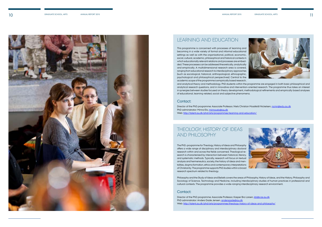# Theology, History of Ideas and Philosophy

The PhD.-programme for Theology, History of Ideas and Philosophy offers a wide range of disciplinary and interdisciplinary doctoral research within and across the fields concerned. Theological research is characterized by interaction between historical, literary, and systematic methods. Typically, research will focus on textual analysis and hermeneutics, society, the history of ideas and mentalities, dogma formation, ethics and contemporary interpretations of Christianity. The programme supports PhD studies within a broad research spectrum related to theology.

Director of the PhD programme: Associate Professor, Kasper Bro Larsen, kbl@cas.au.dk PhD administrator: Anders Gade Jensen, [andersgade@au.dk](mailto:andersgade@au.dk) Web: <http://talent.au.dk/phd/arts/programmes/theology-history-of-ideas-and-philosophy/>





Philosophy and the Study of Ideas and Beliefs covers the areas of Philosophy, History of Ideas, and the History, Philosophy and Sociology of Science, Technology and Medicine, including interdisciplinary studies of human practices in professional and cultural contexts. The programme provides a wide-ranging interdisciplinary research environment.

### Contact:



## Learning and Education

Director of the PhD programme: Associate Professor, Niels Christian Mossfeldt Nickelsen, [ncmn@edu.au.dk](mailto:ncmn@edu.au.dk) PhD administrator: Minna Elo, [minna.elo@au.dk](mailto:minna.elo@au.dk) Web: <http://talent.au.dk/phd/arts/programmes/learning-and-education/>

This programme is concerned with processes of learning and becoming in a wide variety of formal and informal educational settings as well as with the organisational, political, economic, social, cultural, academic, philosophical and historical contexts in which educationally relevant relations and processes are embedded. These processes can be addressed theoretically, analytically and empirically. A multidimensional research area is covered, ranging from educational research to interdisciplinary approaches (such as sociological, historical, anthropological, ethnographic, psychological and philosophical perspectives). Central to the academic scope of the programme is empirically based research, and analytical theory and methodology. PhD students within the programme are engaged in both basic philosophical and analytical research questions, and in innovative and intervention-oriented research. The programme thus takes an interest in synergies between studies focused on theory development, methodological refinements and empirically based analyses of educational, learning-related, social and subjective phenomena.

### Contact: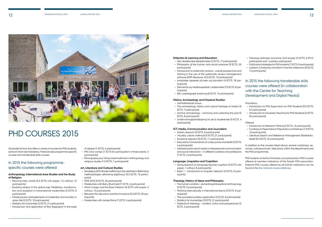



# PHD COURSES 2015

Graduate School, Arts offers a variety of courses for PhD students, some of which are mandatory. There are also programme-specific courses and transferable skills courses.

### In 2015 the following programmespecific courses were offered:

#### **Anthropology, International Area Studies and the Study of Religion:**

- IMC boot camps (1 ECTS for participation in three events, 3 participants)
- Ethnography plus: Using mixed methods in anthropology and religious studies (1.5 ECTS, 7 participants)

- Storying lively worlds (3.5 ECTS with paper, 1.5 without, 13 participants)
- Studying religion in the global age: Meditation, transformation and reception in transnational modernities (3 ECTS, 8 participants)
- Infrastructure's entanglements of materiality and sociality in urban life (2 ECTS, 10 participants)
- Statistics for humanities (2 ECTS, 21 participants)
- Introduction and application of Roy Rappaport in the study

of religion (1 ECTS, 6 participants)

#### **Art, Literature and Cultural Studies:**

- Sandbjerg 2015: Border trafficking in the aesthetics: Rethinking methodologies, rethinking legitimacy (5.5 ECTS, 13 participants)
- SINS 2015 (5 ECTS, 25 participants)
- Masterclass with Barry Brummett (1 ECTS, 4 participants) • Word, Image and the Book Medium (5 ECTS with paper, 2 without, 13 participants)
- Between the discursive and the immersive (3.5 ECTS, 20 participants)
- Masterclass with James Elkins (1 ECTS, 4 participants)

#### **Didactics & Learning and Education:**

- Den akademiske tekstdomptør (2 ECTS, 17 participants)
- Philosophy of the human and social sciences (5 ECTS, 25 participants)
- Introduction to systematic reviews overall perspectives and training in the use of the systematic review management software (EPPI-Reviewer 4) (4 ECTS, 13 participants)
- Analytiske aspekter på børn og barndom (4 ECTS, 18 participants)
- Demokrati og medborgerskab i uddannelse (7.5 ECTS, 8 participants)
- Etik i pædagogisk forskning (5 ECTS, 13 participants)

#### **History, Archaeology and Classical Studies:**

- Introduction to Research Writing (2 ECTS, 15 participants)
- Conference Presentations: Preparation and Delivery (1.5 ECTS, 10 participants)
- Literature Search and Reference Management (Statsbiblioteket) (0.5 ECTS, 22 participants)
- Samtidshistorisk kursus
- The archaeology, history and cultural heritage of Jordan (5 ECTS, 7 participants)
- Archive archaeology archiving and collecting the past (3 ECTS, 8 participants)
- Undervisningsplanlægning for ph.d.-studerende (0 ECTS, 6 participants)

#### **ICT, Media, Communication and Journalism:**

- Artistic research (2 ECTS, 8 participants)
- Visuality, culture, methods (5 ECTS, 21 participants)
- Excessive research (5 ECTS, 11 participants)
- Executions: Conversations on code, power and death (2 ECTS, 6 participants)
- Addressing the role of media in interpersonal communication and social interaction – in different contexts and professions (1 ECTS, 6 participants)

#### **Language, Linguistics and Cognition:**

- Doing research on language teacher cognition (3 ECTS with paper, 1 without, 8 participants)
- Basis 1 Introduction to linguistic research (4 ECTS, 8 participants)

#### **Theology, History of Ideas and Philosophy:**

- The human condition reinventing philosophical anthropology (3 ECTS, 5 participants)
- Working interculturally in international teams (2 ECTS, 8 participants)
- The successful postdoc application (2 ECTS, 8 participants)
- Statistics for humanities (2 ECTS, 21 participants)
- Dialectical theology content, critics and perspectives (2 ECTS, 3 participants)
- Theology between economy and society (3 ECTS, 6 Ph.D. participants and 1 postdoc participant)
- Publication strategies for PhD students (1 ECTS, 8 participants)
- Judaism, Christianity and Islam in the first millennium (5 ECTS, 14 participants)

### In 2015 the following transferable skills courses were offered (in collaboration with the Centre for Teaching Development and Digital Media):

#### Mandatory:

- Introduction to PhD Supervision for PhD Students (0.5 ECTS, 57 participants)
- Introduction to University Teaching for PhD Students (2 ECTS, 55 participants)

#### Offered:

In addition to the courses listed above, several workshops, seminars, colloquiums etc. take place within the departments and the PhD programmes.

PhD students at Aarhus University can participate in PhD courses offered at member institutions of the Danish PhD association. External PhD courses offered by all Danish institutions can be found in the [the national course database.](http://phdcourses.dk/)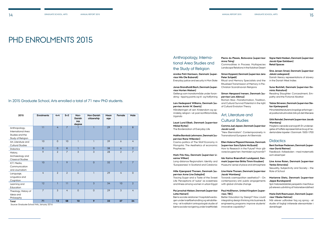# PHD ENROLMENTS 2015

**5 PhD enrolments 2015** In 2015 Graduate School, Arts enrolled a total of 71 new PhD students.

| 2015                                                                        | <b>Enrolments</b> | $4 + 4$        | $5 + 3$        | Non-<br>Danish<br><b>MA</b><br>degree | <b>Non-Danish</b><br>citizenship | Mean<br>age | Female         | Male           |
|-----------------------------------------------------------------------------|-------------------|----------------|----------------|---------------------------------------|----------------------------------|-------------|----------------|----------------|
| Anthropology,<br>International Area<br>Studies and the<br>Study of Religion | 11                | $\overline{4}$ | $\overline{7}$ |                                       | ı                                | 29          | $\overline{3}$ | $\mathbf{8}$   |
| Art, Literature and<br><b>Cultural Studies</b>                              | 10                | $\overline{0}$ | 10             | $\mathbf{1}$                          | $\overline{1}$                   | 39          | 6              | $\overline{4}$ |
| <b>Didactics</b>                                                            | $\overline{8}$    | $\Omega$       | $\overline{8}$ | $\mathbf{I}$                          | $\overline{0}$                   | 38          | 6              | 2              |
| History,<br>Archaeology and<br><b>Classical Studies</b>                     | 9                 | $\overline{2}$ | 7              | 3                                     | 3                                | 28          | $\overline{2}$ | $\overline{7}$ |
| ICT, Media,<br>Communication<br>and Journalism                              | 10                | 1              | $\overline{9}$ | $\mathbf{1}$                          | $\overline{0}$                   | 32          | $\overline{3}$ | $\overline{7}$ |
| Language,<br>Linguistics and<br>Cognition                                   | $\overline{4}$    | $\overline{2}$ | 2              | $\overline{0}$                        | $\mathbf{1}$                     | 29          | $\overline{4}$ | $\Omega$       |
| Learning and<br>Education                                                   | 12                | $\mathbf{1}$   | 11             | 3                                     | 3                                | 34          | 10             | $\overline{2}$ |
| Theology, History of<br>Ideas and<br>Philosophy                             | $\overline{7}$    | 3              | $\overline{4}$ | $\overline{0}$                        | $\overline{0}$                   | 29          | 3              | $\overline{4}$ |
| Total                                                                       | 71                | 13             | 58             | 10                                    | 9                                | 33          | 37             | 34             |

Source: Graduate School Arts, January 2016

### Anthropology, International Area Studies and the Study of Religion

#### **Annika Pohl Harrisson, Denmark (supervisor Nils Ole Bubandt)**

Everyday justice and security in Mon State

#### **Jonas Strandholdt Bach, Denmark (supervisor Morten Nielsen)**

Gellerup som transitområde under forandring – tipping points og til- og fraflytning

**Lars Hedegaard Williams, Denmark (supervisor Armin W. Geertz)**

Håndteringen af cen: Kristendom og oprindelig religion i et post-konfliktområde,

Uganda

#### **Laust Lund Elbek, Denmark (supervisor Mikkel Rytter)**

The Borderization of Everyday Life

#### **Malthe Barnkob Lehrmann, Denmark (supervisor Rane Willerslev)**

Cosmo-politics of The Wolf Economy in Mongolia: The Aesthetics of economic Prophecies

#### **Mark Friis Hau, Denmark (supervisor Lisanne Wilken)**

Long-distance Regionalism: Identity and 'Europeaness' in Scotland and Catalonia

#### **Mille Kjærgaard Thorsen, Denmark (supervisor Anne Line Dalsgård)**

Tracing Sugar and a Taste of the Sweet Life: Perceptions of 'sukar' as sweetness and illness among women in urban Egypt

#### **Pia Løvschal-Nielsen, Denmark (supervisor Lotte Meinert)**

Børns sociale relationer I hospitalshverdagen under kræftbehandling og rehabilitering – et kvalitativt antropologisk studie af børns sociale navigering under kræftforløb **Pierre du Plessis, Botswana (supervisor Anna Tsing)** Commodities in Process: Multispecies Landscape Relations in the Kalahari Desert

### **Simon Nygaard, Denmark (supervisor Jens Peter Schjødt)**

Ritual and Memory Specialists and the Ritualised Transmission of Memory in Pre-Christian Scandinavian Religions

#### **Simon Nørgaard Iversen, Denmark (supervisor Lars Albinus)**

Roman Stoa –Transformation, Tradition, and Cultural Survival Potential in the light of Cultural Evolution Theory

# Art, Literature and Cultural Studies

### **Camma Juel Jepsen, Denmark (supervisor**

**Jacob Lund)**

"New Biennialism". Contemporaneity in Transnational European Art Biennials

**Ellen Malene Pilgaard Harsaae, Denmark (supervisor Sara Dybris McQuaid)** How to Research in the Future? Hvor går vores brugere hen i fremtiden og hvornår?

**Ida Karina Brændholt Lundgaard, Denmark (supervisor Britta Timm Knudsen)** Museums' sense of place and atmosphere

### **Line Marie Thorsen, Denmark (supervisor Jacob Wamberg)**

Towards cosmopolitan aesthetics? – On contemporary arts' public engagements with global climate change

#### **Paul McElheron, United Kingdom (supervisor, TBC)**

Better Education by Design? How could integrating design thinking into business & engineering programs improve students' innovative capability?

#### **Signe Mørk Madsen, Denmark (supervisor Jacob Kjær Eskildsen) Retail Spaces**

#### **Sine Jensen Smed, Denmark (supervisor Jakob Ladegaard)**

Danish literary representations of slavery in the Danish West Indies

#### **Sune Borkfelt, Denmark (supervisor Dominic Rainsford)**

Reading Slaughter: Concealment, Empathy and the Fictional Abattoir

#### **Tobias Skiveren, Denmark (supervisor Stefan Kjerkegaard)**

Minoritetslitteraturens kropslige erfaringer – et postkonstruktivistisk blik på det litterære

#### **Ulrik Reindel, Denmark (supervisor Jacob Wamberg)**

Magtens vævede scenografi: En undersøgelse af hoffets repræsentative brug af nederlandske tapeter i Danmark 1500-1700

### **Didactics**

#### **Bent Sortkær Pedersen, Denmark (supervisor David Reimer)**

Feedback i folkeskolen – med matematik som eksempel

#### **Line Anne Roien, Denmark (supervisor Venka Simovska)**

Sexuality, Subjectivity and Society – the Role of School

#### **Marianne Dietz, Denmark (supervisor Jeppe Bundsgaard)**

Spil i historiedidaktisk perspektiv med fokus på elevers udvikling af historiebevidsthed

#### **Marie Dahl Rasmussen, Denmark (supervisor Vibeke Hetmar)**

Når elever udforsker fag og sprog – et studie af fagligt initierede elevsamtaler i danskfaget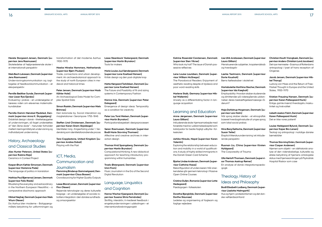**Merete Storgaard Jensen, Denmark (supervisor Jens Rasmussen)**

Skoleledelse af højtpræsterende skoler i et internationalt perspektiv

#### **Niels Bech Lukassen, Denmark (supervisor Jens Rasmussen)**

Undervisningskommunikation og iagttagelse af feedbackkommunikation – et elevperspektiv

#### **Pernille Bødtker Sunde, Denmark (supervisor Lisser Rye Ejersbo)**

Evaluering i praksis – en undersøgelse af læreres viden om elevernes matematikkundskaber

**Pernille Damm Mønsted Pjedsted, Denmark (supervisor Anna K. Skyggebjerg)** Didaktisk design i dansk – tilrettelæggelse af undervisningen, så faget understøttes af "den åbne skole" – herunder forholdet mellem læringsmålstyret undervisning og indholdsstyret undervisning

### History, Archaeology and Classical Studies

**Alex Hunter Peterson, United States (supervisor Rubina Raja)** Ceramics in Context Project

### **Kasper Ørum Køhler Simonsen, Denmark (supervisor Marianne Pade)**

The language of politics in translation

#### **Mathias Paul Bjørnevad Jensen, Denmark (supervisor Felix Riede)**

Ritualising the everyday and extraordinary in the Northern European Mesolithic – a comparative diachronic approach

#### **Mikkel Høghøj, Denmark (supervisor Niels Wium Olesen)**

Da Aarhus blev moderne – Boligspørgsmålets betydning for udformningen og transformation af det moderne Aarhus 1900-1970

#### **Neeke Mineke Hammers, Netherlands (supervisor Bjørn Poulsen)**

Trade, connections and urban development: An archaeobotanical approach to the study of north European cities in medieval and historical times

#### **Peter Jensen, Denmark (supervisor Mads Kähler Holst)**

An Archaeological Data Model for Complex Spatial Data

#### **Simon Rastén, Denmark (supervisor Niels Brimnes)**

Den koloniale by. Social interaktion og magtrelationer i Serampore 1755-1845

### **Steffen Lind Christensen, Denmark (supervisor Karen Gram-Skjoldager)**

Identiteter i krig – Krigserfaring under 1. Verdenskrig som identitetsforandrende proces

#### **Tara Copplestone, United Kingdom (supervisor Andres Dobat)** Playing with the Past

ICT, Media,

### Communication and

### Journalism

**Flemming Binderup Gammelgaard, Denmark (supervisor Claus Bossen)** Crowdsourcing for Higher Quality Outputs

#### **Lasse Blond Larsen, Denmark (supervisor Finn Olesen)**

Rejsende teknologier og deres kulturelle bagage – en undersøgelse af sociale robotters integration i den danske sundhedsog omsorgssektor

**Lasse Steenbock Vestergaard, Denmark (supervisor Martin Brynskov)** Tools for makers

**Marie Louise Juul Søndergaard, Denmark (supervisor Lone Koefoed Hansen)** Kritisk design og den post-digitale krop

#### **Mette Nørgaard Terkildsen, Denmark (supervisor Lone Koefoed Hansen)**

The Future and Possibility of fit and sizing systems in Contemporary Fashion

#### **Nanna Inie, Denmark (supervisor Peter Dalsgaard)**

Emergence of design ideas: Temporality as a condition for creativity

#### **Christian Houth Vrangbæk, Denmark (supervisor Anders-Christian Lund Jacobsen)** Det nye menneske – Erasmus af Rotterdams antropologi i lyset af hans reception af **Origenes**

### **Peter Lau Torst Nielsen, Denmark (supervisor Martin Brynskov)**

Participationsbegrebet i designprocessen

#### **Søren Rasmussen, Denmark (supervisor Bodil Marie Stavning Thomsen)**

Affective and creative archives in interaction design

#### **Thomas Hvid Spangsberg, Denmark (supervisor Martin Brynskov)**

Computational thinking: A new didactical approach for teaching introductory programming within humanities

#### **Troels Østergaard, Denmark (supervisor Unni From)**

Music Journalism in the Era of the Second Digital Revolution

Hiernen som objekt – en idéhistorisk analyse af den videnskabelige, kulturelle og etiske betydning af hjernens ontologiske status med hjernesamlingen på Psykiatrisk Hospital Risskov som case

### Language, Linguistics and Cognition

**Hanne Wacher Kjærgaard, Denmark (supervisor Susana Silvia Fernández)** Skriftlig, interaktiv, it-medieret feedback i engelskundervisningen i udskolingen – et interventionsforskningsprojekt

#### **Katrine Rosendal Carstensen, Denmark (supervisor Sten Vikner)** Who took my hat? The issue of Danish pos-

sessive reflexives

#### **Lene Louise Lauridsen, Denmark (supervisor William McGregor)**

The Paradoxical Readers: Enjoyment of aesthetic reading despite of dyslexia and poor word-reading skills

#### **Marlene Staib, Germany (supervisor Mikkel Wallentin)**

Anxiety as a differentiating factor in language acquisition

### Learning and Education

#### **Anne Jørgensen, Denmark (supervisor Laura Gilliam)**

Inkluderende skole-hjemsamarbejde med forældre med lav uddannelseskapital som katalysator for bedre fagligt udbytte i folkeskolen

#### **Ashika Niraula, Nepal (supervisor Karen Valentin)**

Exploring the relationship between education and mobility in a world of qualifications: A study of highly skilled immigrants in the Danish Green Card Scheme

#### **Bjarke Lindsø Andersen, Denmark (supervisor Cathrine Hasse)**

Rekonfiguration af underviseren: Når anerkendelse går gennem teknologi i Massive Open Online Courses

#### **Cristina Gulløv, Romania (supervisor Lotte Hedegaard)**

Pædagogen i folkeskolen

#### **Dorethe Bjergkilde, Denmark (supervisor Dorthe Staunæs)**

Ledelse og organisering af fagteam og faglige vejledere

**Lise Ulrik Andreasen, Denmark (supervisor Laura Gilliam)** Menstruerende subjekter, kropskendskab og hverdagsliv

**Lærke Testmann, Denmark (supervisor Dorte Kousholt)** Børns fællesskaber i skolelivet

**Martabolette Marthina Stecher, Denmark (supervisor Ida Krøgholt)** Employability: Hvordan skaber studerende og dimittender på videregående uddannelser deres beskæftigelsesmæssige råderum?

#### **Naja Dahlstrup Mogensen, Denmark (supervisor Lars Holm)** Når sprog skaber steder – et etnografisk baseret hverdagslivsstudie af unges sprog som lokal social praksis

#### **Nina Berg Gøttsche, Denmark (supervisor**

**Susan Tetler)**

### Eksplicit litteraturundervisning i et inkluderende perspektiv

**Ruonan Liu, China (supervisor Kirsten Hyldgaard)** The Corporeality of Trauma

**Ulla Nørtoft Thomsen, Denmark (supervi-**

### **sor Thomas Aastrup Rømer)** En analyse af dansk integrationspædagogik

# Theology, History of Ideas and Philosophy

**Bodil Elisabeth Lodberg, Denmark (supervisor Liselotte Malmgarth)** Hus og hjem i protestantismen og det danske velfærdssamfund

#### **Jacob Jensen, Denmark (supervisor Mikkel Thorup)**

Ludwig von Mises and the Return of Free-Market Thought in Europe and the United States, 1900-1970

#### **Kristian Frausing Hansen, Denmark (supervisor Karen Pallesgaard Munk)**

Enlige, gamle mænd: Hverdagsliv, maskulinitet og livskvalitet

### **Lisbeth Aaskov Falch, Denmark (supervisor Karen Pallesgaard Munk)**

Det er ikke vores patient!

#### **Louise Heldgaard Bylund, Denmark (supervisor Kaper Bro Larsen)**

Teologi og antropologi i nutidige danske børnebibler

#### **Thomas Stavning Erslev, Denmark (supervisor Casper Andersen)**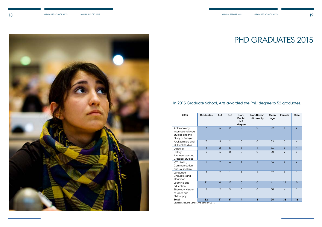

### In 2015 Graduate School, Arts awarded the PhD degree to 52 graduates.

| 2015                                                                        | <b>Graduates</b> | $4 + 4$        | $5 + 3$        | Non-<br>Danish<br><b>MA</b><br>degree | Non-Danish<br>citizenship | Mean<br>age | Female         | Male           |
|-----------------------------------------------------------------------------|------------------|----------------|----------------|---------------------------------------|---------------------------|-------------|----------------|----------------|
| Anthropology,<br>International Area<br>Studies and the<br>Study of Religion | $\overline{7}$   | 5              | $\overline{2}$ | $\Omega$                              | $\overline{0}$            | 32          | 5              | $\overline{2}$ |
| Art, Literature and<br><b>Cultural Studies</b>                              | $\overline{7}$   | 5              | $\overline{2}$ | $\Omega$                              | $\overline{0}$            | 33          | $\mathfrak{S}$ | $\overline{4}$ |
| <b>Didactics</b>                                                            | $\overline{8}$   | $\overline{0}$ | 8              | $\overline{2}$                        |                           | 46          | $\overline{7}$ | $\mathbf{I}$   |
| History,<br>Archaeology and<br><b>Classical Studies</b>                     | 5                | 5              | $\overline{0}$ | $\overline{0}$                        | $\overline{0}$            | 30          | $\overline{2}$ | $\overline{3}$ |
| ICT, Media,<br>Communication<br>and Journalism                              | 6                | $\overline{2}$ | $\overline{4}$ | $\mathbf{I}$                          | 1                         | 34          | $\overline{2}$ | $\overline{4}$ |
| Language,<br>Linguistics and<br>Cognition                                   | 3                | $\overline{2}$ | $\overline{1}$ | $\mathbf{1}$                          | T                         | 32          | 2              | $\overline{1}$ |
| Learning and<br>Education                                                   | 11               | $\overline{0}$ | 11             | $\overline{0}$                        | $\overline{0}$            | 41          | 11             | $\overline{0}$ |
| Theology, History<br>of Ideas and<br>Philosophy                             | 5                | $\mathcal{P}$  | 3              | $\Omega$                              | $\Omega$                  | 30          | $\overline{4}$ | $\mathbf{1}$   |
| <b>Total</b>                                                                | 52               | 21             | 31             | 4                                     | $\overline{3}$            | 35          | 36             | 16             |

Source: Graduate School Arts, January 2016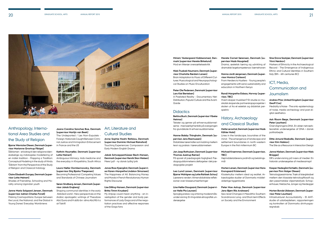



## Anthropology, International Area Studies and the Study of Religion

#### **Bjarne Wernicke Olesen, Denmark (supervisor Marianne Qvortrup Fibiger)**

Śāktismen - et bidrag til den religionsvidenskabelige og indologiske modellering af en indisk tradition - Mapping a Tradition: Conceptual Modeling in the study of Hindu 'Śāktism' from the Perspective of the Study of Religion and Classical Indology

#### **Claire Elisabeth Dungey, Denmark (supervisor Lotte Meinert)**

Shades of Friendship. Schooling and Morality among Ugandan youth

#### **Janne Maria Solgaard Jensen, Denmark (supervisor Adrian Charles Favell)**

Making Cosmopolitans: Europe between the Local, the National, and the Global in Young Danes' Everyday Worldviews

### **Jaana Carolina Sanchez Boe, Denmark (supervisor Martijn van Beek)**

The Undeported / Les Non-Expulsés - Foreign-Nationals Caught Between Criminal Justice and Immigration Enforcement in France and the US

#### **Kathrin Houmøller, Denmark (supervisor Lotte Meinert)**

Ambiguous Intimacy: Aids medicine and the everyday in Khayelitsha, South Africa

#### **Laura Møller Dombernowsky, Denmark (supervisor Stig Bjarka Thøgersen)**

Becoming Professional: Competing Values and Standards of Chinese Journalism

#### **Søren Sindberg Jensen, Denmark (supervisor Jakob Engberg)**

Shaping communal identities in the early Abbāsid world - New perspectives on the Arabic apologetic writings of Theodore Abū Qurra and H abīb ibn idma Abū Rā it a at-Takrītī

## Art, Literature and Cultural Studies

**Anne Sophie Haahr Refskou, Denmark (supervisor Dominic Michael Rainsford)** Touching Experiences: Compassion and Early Modern English Drama

**Jakob Schweppenhüaser Bech-Hansen, Denmark (supervisor Henrik Skov Nielsen)** Mere Lyd! - ny dansk lydlig lyrik

**Jonas Ross Kjærgård, Denmark (supervisor Karen-Margrethe Lindskov Simonsen)** The Happiness of All. Balancing Money and Morals in French Revolutionary Human Rights Discourse

#### **Lise Dilling-Hansen, Denmark (supervisor Britta Timm Knudsen)**

My Artpop could mean anything - an investigation of the gender and body performances of Lady Gaga and of the negotiation practices and affective responses of the Gaga fans

**Miriam Vestergaard Kobbersmed, Denmark (supervisor Merete Birkelund)** Mod en litterær oversættelseskritik

**Niels Trusbak Haumann, Denmark (supervisor Charlotte Rørdam Larsen)** Brain Adaptation to Music of Different Cultures: Musicological and Neuropsychological Studies on Music Enculturation

#### **Peter Ole Pedersen, Denmark (supervisor Lars Kiel Bertelsen)**

A Pixelated Reality - Documentary Net-Distribution, Popular Culture and the Avant-Garde

### **Didactics**

#### **Bettina Buch, Denmark (supervisor Vibeke Hetmar)**

Tekster og genrer på erhvervsuddannelserne - med særligt henblik på overgangen fra grundskole til erhvervsuddannelse

#### **Hanne Balsby Thingholm, Denmark (supervisor Jens Rasmussen)**

Didaktiske læremidler som kobling mellem teori og praksis i læreruddannelsen

#### **Jan Jaap Rothuizen, Denmark (supervisor Thomas Aastrup Rømer)**

På sporet af pædagogisk faglighed: Pædagoguddannelsens deltagelse i det pædagogiske projekt

**Lea Lund Larsen, Denmark (supervisor Bjarne Wahlgren og Lotte Rahbek Schou)** Lærerens verden: Almendidaktiske refleksioner over klasserumserfaringer

#### **Line Møller Daugaard, Denmark (supervisor Helle Pia Laursen)**

Sproglig praksis i og omkring modersmålsundervisning: En lingvistisk etnografisk undersøgelse

**Merete Cornet Sørensen, Denmark (supervisor Mads Haugsted)** Drama, æstetisk læring og udvikling af dramatisk legekompetence i børnehaven

**Nanna Jordt Jørgensen, Denmark (supervisor Monica Carlsson)** From Herders to Hustlers - Young people's engagements with sand, sustainability and education in Northern Kenya

#### **Randi Margrethe Eidsaa, Norway (supervisor, TBC)**

Hvem skaper musikken? En studie av musikalsk skapende partnerskapsprosjekter i skolen ut fra et estetisk og didaktisk perspektiv

# History, Archaeology and Classical Studies

# **Mette Løvschal, Denmark (supervisor Mads**

**Kähler Holst)** Lines in the landscape, boundries of the mind - The emergence of landscape and settlement boundaries in north-western Europe in the first millennium BC

**Michael Kræmmer, Denmark (supervisor, TBC)**

Højmiddelalderens jordmål og betalings-

mål

#### **Morten Larsen, Denmark (supervisor Hans Krongaard Kristensen)** Klosterkultur mellem ideal og realitet. Arkæologiske studier af Danmarks middelalderlige tiggerklostre

**Peter Moe Astrup, Denmark (supervisor Jens-Bjørn Riis Andresen)** Sea-level Changes in Mesolithic Southern Scandinavia: Long- and Short-term Effects on Society and the Environment

#### **Sine Grove Saxkjær, Denmark (supervisor Vinni Nørskov)**

Markers of Ethnicity in the Archaeological Record - The Emergence of Indigenous Ethnic and Cultural Identities in Southern Italy (8th - 6th centuries BC)

### ICT, Media, Communication and Journalism

#### **Andrew Prior, United Kingdom (supervisor Geoff Cox)**

Mediality is Noise - The onto-epistemology of noise, media archeology and post-digital aesthetics

#### **Ask Risom Bøge, Denmark (supervisor Peter Lauritsen)**

Overvågningens DNA. En aktør-netværkteoretisk undersøgelse af DNA i dansk politiarbejde

#### **Ditte Amund Basballe, Denmark (supervisor Kim Halskov)**

The Site as a Resource in Interaction Design

#### **Janne Nielsen, Denmark (supervisor Niels Brügger)**

DR's undervisning på tværs af medier: En historisk undersøgelse af mediesamspil

#### **Kasper Hedegård Schiølin, Denmark (supervisor Finn Holger Olesen)**

Teknologipessimisme. Træk af slægtskabet mellem den klassiske teknologifilosofi og den pessimistiske viljesmetafysik: Schopenhauer, Nietzsche, Jünger og Heidegger

#### **Morten Bonde Ubbesen, Denmark (supervisor Peter Lauritsen)**

Infrastrukturel Accountability - Et ANTstudie af udarbejdelsen, rapporteringen og kontrollen af Danmarks drivhusgasregnskab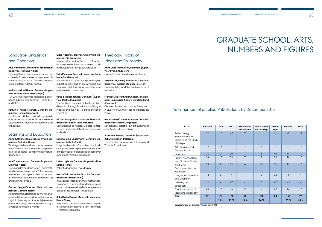| 2015                                                                        | Enrolled | $4 + 4$        | $5 + 3$        | Non-Danish<br>MA degree | Non-Danish<br>citizen-ship | Mean<br>age | Female     | Male           |
|-----------------------------------------------------------------------------|----------|----------------|----------------|-------------------------|----------------------------|-------------|------------|----------------|
| Anthropology,<br>International Area<br>Studies and the Study<br>of Religion | 41       | 17             | 24             | 9                       | 11                         | 31          | 25         | 16             |
| Art, Literature and<br><b>Cultural Studies</b>                              | 34       | 13             | 21             | $\overline{2}$          | 2                          | 31          | 22         | 12             |
| <b>Didactics</b>                                                            | 30       | $\Omega$       | 30             | 3                       | 3                          | 40          | 18         | 12             |
| History, Archaeology<br>and Classical Studies                               | 34       | 15             | 19             | $\overline{7}$          | $\overline{7}$             | 29          | 18         | 16             |
| ICT, Media,<br>Communication and<br>Journalism                              | 29       | $\overline{7}$ | 22             | $\overline{4}$          | 4                          | 32          | 13         | 16             |
| Language, Linguistics<br>and Cognition                                      | 12       | 5              | $\overline{7}$ | $\overline{1}$          | 3                          | 32          | 8          | $\overline{4}$ |
| Learning and<br>Education                                                   | 41       | $\overline{2}$ | 39             | $\overline{7}$          | $\overline{7}$             | 37          | 34         | $\overline{7}$ |
| Theology, History of<br>Ideas and Philosophy                                | 30       | 14             | 16             | $\overline{2}$          | $\mathfrak{S}$             | 32          | 16         | 14             |
| Total                                                                       | 251      | 73<br>29%      | 178<br>71%     | 35<br>14%               | 40<br>16%                  | 33          | 154<br>61% | 97<br>39%      |

Source: Graduate School, Arts, January 2016

# Language, Linguistics and Cognition

#### **Ana Kanareva Dimitrovska, Macedonia (supervisor Henning Nølke)**

La compétence de communication interculturelle à travers les échanges interculturels en ligne - Le cas d'étudiants danois et de locuteurs natif du français

#### **Andreas Højlund Nielsen, Denmark (supervisor William Bernard McGregor)**

"TA-DA!" Investigating phonological categories in brain and behavior - using EEG and MEG

#### **Kathrine Thisted Petersen, Denmark (supervisor Henrik Jørgensen)**

Udviklingen af inkorporation fra gammeldansk til moderne dansk - fra umarkerede kasusformer til markeret artikelløshed og enhedstryk

### Learning and Education

#### **Anne Kathrine Kamstrup, Denmark (supervisor Cathrine Hasse)**

Teori og praksis som fænomener - en empirisk analyse af hvordan teori og praksis bliver til på lærer- og diplomingeniøruddannelsen

#### **Ann-Thérése Arstorp, Denmark (supervisor Cathrine Hasse)**

Teknologi i læreruddannelsen - en forestillet eller en realiseret praksis? En virksomhedsteoretisk analyse af objekter, motiver og rettetheder på samfunds, institutions- og undervisningsniveau

#### **Gertrud Lynge Esbensen, Denmark (supervisor Cathrine Hasse)**

At lære teknologiforståelse gennem handlerækkefølger - en pædagogisk-antropologisk kulturanalyse af sygeplejerskestuderendes læreprocesser med teknologi i krydsgående figured worlds

### **Gitte Kaarina Jørgensen, Denmark (supervisor Pia Bramming)**

## **7 Graduate School, Arts, Numbers and Figures** Total number of enrolled PhD students by December 2015

Ingen andre har forstået os, har forstået, hvor vigtige vi er. En undersøgelse af sundhedsplejerskers faglige selvforståelser

#### **Helle Plauborg, Denmark (supervisor Dorte Marie Søndergaard)**

Intra-aktivitet af didaktik, faglighed og socialitet og udvikling af en tænkning om læring og didaktik - analyser af tre eksperimentelle casestudier

#### **Katja Brøgger Jensen, Denmark (supervisor Dorthe Staunæs)**

The Faceless Masters of Higher Education. Governing Through Standards: the Bologna Process and the New Realities of Higher Education

#### **Kirsten Margrethe Andersen, Denmark (supervisor Henrik Vase Frandsen)**

Sekularisering og religion: Et studie i fortællingens nøglerolle i folkeskolens religionsundervisning

#### **Laila Colding Lagermann, Denmark (supervisor Jette Kofoed)**

Unge i – eller ude af? – skolen. Marginaliseringsprocesser og overskridende forandringsbevægelser blandt udskolingselever med etnisk minoritetsbaggrund

#### **Lisbeth Hybholt, Denmark (supervisor Line Lerche Mørck)**

Patientuddannelse i hverdagsliv

#### **Maria-Christina Secher Schmidt, Denmark (supervisor Susan Tetler)**

Inklusionsbestræbelser i matematikundervisningen: En empirisk undersøgelse af matematiklæreres klasseledelse og elevers deltagelsesstrategier i folkeskolen

#### **Sofie Ørsted Sauzet, Denmark (supervisor Bente Elkjær)**

Versioner – diffrative analyser af tværprofessionalismens tilblivelse som fænomen i Professionshøjskolen

### Theology, History of Ideas and Philosophy

**Anna Julie Rasmussen, Denmark (supervisor Svend Andersen)** Nanoethics. An Interdisciplinary Study

## **Asger Bo Skjerning Steffensen, Denmark**

**(supervisor Asbjørn Steglich-Petersen)** Conceivability and the Epistemology of Modality

#### **Maria Louise Munkholt Christensen, Denmark (supervisor Anders-Christian Lund Jacobsen)**

Christian Prayer and Identity Formation. A Study of Four Ante-Nicene Treatises on Prayer

#### **Marie Louise Kaufmann Jensen, Denmark (supervisor Dorthe Jørgensen)**

Religionens æstetik - En artikulering af åbenheden i tro og religion

#### **Sara Kier Praëm, Denmark (supervisor Asbjørn Steglich-Petersen)**

Topics in the debates over Intuitions and Thought Experiments

# Graduate School, Arts, Numbers and Figures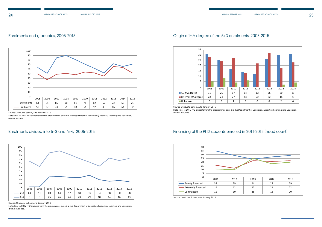### Enrolments and graduates, 2005-2015

### Enrolments divided into 5+3 and 4+4, 2005-2015

## Financing of the PhD students enrolled in 2011-2015 (head count)

Source: Graduate School, Arts, January 2016

Note: Prior to 2012 PhD students from the programmes based at the Department of Education (Didactics; Learning and Education) are not included.



## Origin of MA degree of the 5+3 enrolments, 2008-2015 **Origin of MA degree of the 5+3 enrolments 2008-2015**

Source: Graduate School, Arts, January 2016

Note: Prior to 2012 PhD students from the programmes based at the Department of Education (Didactics; Learning and Education) are not included.



Source: Graduate School, Arts, January 2016

Note: Prior to 2012 PhD students from the programmes based at the Department of Education (Didactics; Learning and Education) are not included.



Source: Graduate School, Arts, January 2016

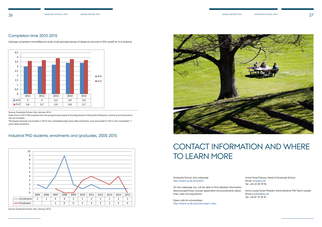# Contact information and where TO LEARN MORE

### Industrial PhD students, enrolments and graduates, 2005-2015

#### Graduate School, Arts webpage: [http://talent.au.dk/phd/arts/](http://talent.au.dk/phd/arts/ )

On the webpage you will be able to find detailed information about programmes, courses, application announcements, deadlines, rules and regulations.

Average completion time (effective study time) excludes leaves of absence and part A (MA credit) for 4+4 students Average completion time (effective study time) excludes leaves of absence and part A (MA credit)

Open calls for scholarships: [http://talent.au.dk/phd/arts/open-calls/](http://talent.au.dk/phd/arts/open-calls/  )  Anne Marie Pahuus, Head of Graduate School Email: [amp@au.dk](mailto:amp%40au.dk%20?subject=)  Tel: +45 23 28 78 96

Anna Louise Dolan Plaskett, Administrative PhD Team Leader Email: [plaskett@au.dk](mailto:plaskett%40au.dk%20?subject=)  Tel: +45 87 15 25 81

#### Completion time 2010-2015 **Graduate School, Arts, completion time 2010-2015** rapporten.

Source: Graduate School, Arts, January 2016

Note: Prior to 2012 PhD students from the programmes based at the Department of Education (Didactics; Learning and Education) are not included.

The figures exclude one student in 2010 who completed eight years after enrolment, and one student in 2013 who completed 11 years after enrolment.

Source: Graduate School, Arts, January 2016